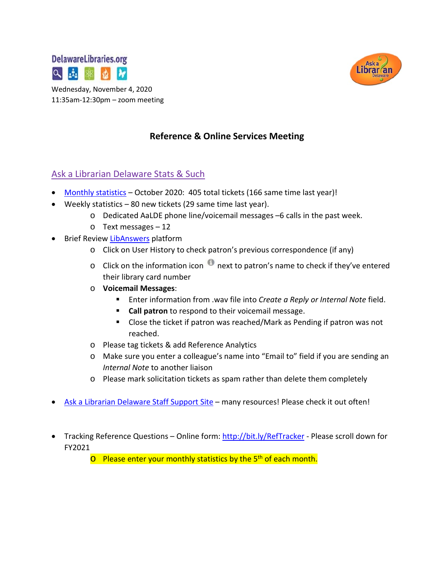



Wednesday, November 4, 2020 11:35am-12:30pm – zoom meeting

### **Reference & Online Services Meeting**

#### Ask a Librarian Delaware Stats & Such

- [Monthly statistics](https://aalstaff.lib.de.us/home/reports/fy21-monthly-reports/) October 2020: 405 total tickets (166 same time last year)!
- Weekly statistics 80 new tickets (29 same time last year).
	- o Dedicated AaLDE phone line/voicemail messages –6 calls in the past week.
	- o Text messages 12
- Brief Revie[w LibAnswers](https://delawarelibraries.libapps.com/libapps/login.php?site_id=2221&target=%2Fadmin%2Fhome) platform
	- o Click on User History to check patron's previous correspondence (if any)
	- $\circ$  Click on the information icon  $\bullet$  next to patron's name to check if they've entered their library card number
	- o **Voicemail Messages**:
		- Enter information from .wav file into *Create a Reply or Internal Note* field.
		- **Call patron** to respond to their voicemail message.
		- Close the ticket if patron was reached/Mark as Pending if patron was not reached.
	- o Please tag tickets & add Reference Analytics
	- o Make sure you enter a colleague's name into "Email to" field if you are sending an *Internal Note* to another liaison
	- o Please mark solicitation tickets as spam rather than delete them completely
- [Ask a Librarian Delaware Staff Support Site](https://aalstaff.lib.de.us/) many resources! Please check it out often!
- Tracking Reference Questions Online form:<http://bit.ly/RefTracker> Please scroll down for FY2021

O Please enter your monthly statistics by the 5<sup>th</sup> of each month.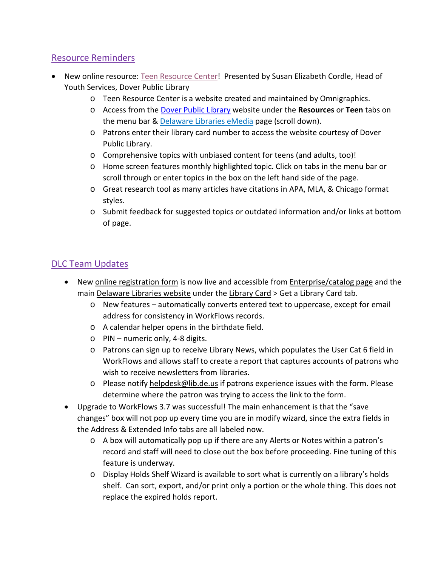#### Resource Reminders

- New online resource: [Teen Resource Center!](https://online.omnigraphics.com/#/login/sibqYwPV48c=) Presented by Susan Elizabeth Cordle, Head of Youth Services, Dover Public Library
	- o Teen Resource Center is a website created and maintained by Omnigraphics.
	- o Access from the [Dover Public Library](https://dover.lib.de.us/) website under the **Resources** or **Teen** tabs on the menu bar & [Delaware Libraries eMedia](https://lib.de.us/emedia/) page (scroll down).
	- o Patrons enter their library card number to access the website courtesy of Dover Public Library.
	- o Comprehensive topics with unbiased content for teens (and adults, too)!
	- o Home screen features monthly highlighted topic. Click on tabs in the menu bar or scroll through or enter topics in the box on the left hand side of the page.
	- o Great research tool as many articles have citations in APA, MLA, & Chicago format styles.
	- o Submit feedback for suggested topics or outdated information and/or links at bottom of page.

#### DLC Team Updates

- New [online registration form](https://dlc.lib.de.us/client/en_US/default?rm=REGISTRATION0%7C%7C%7C1%7C%7C%7C0%7C%7C%7Ctrue) is now live and accessible from [Enterprise/catalog page](https://dlc.lib.de.us/client/en_US/default) and the main [Delaware Libraries website](https://lib.de.us/) under the [Library Card](https://lib.de.us/librarycard/) > Get a Library Card tab.
	- o New features automatically converts entered text to uppercase, except for email address for consistency in WorkFlows records.
	- o A calendar helper opens in the birthdate field.
	- o PIN numeric only, 4-8 digits.
	- o Patrons can sign up to receive Library News, which populates the User Cat 6 field in WorkFlows and allows staff to create a report that captures accounts of patrons who wish to receive newsletters from libraries.
	- o Please notify [helpdesk@lib.de.us](mailto:helpdesk@lib.de.us) if patrons experience issues with the form. Please determine where the patron was trying to access the link to the form.
- Upgrade to WorkFlows 3.7 was successful! The main enhancement is that the "save changes" box will not pop up every time you are in modify wizard, since the extra fields in the Address & Extended Info tabs are all labeled now.
	- o A box will automatically pop up if there are any Alerts or Notes within a patron's record and staff will need to close out the box before proceeding. Fine tuning of this feature is underway.
	- o Display Holds Shelf Wizard is available to sort what is currently on a library's holds shelf. Can sort, export, and/or print only a portion or the whole thing. This does not replace the expired holds report.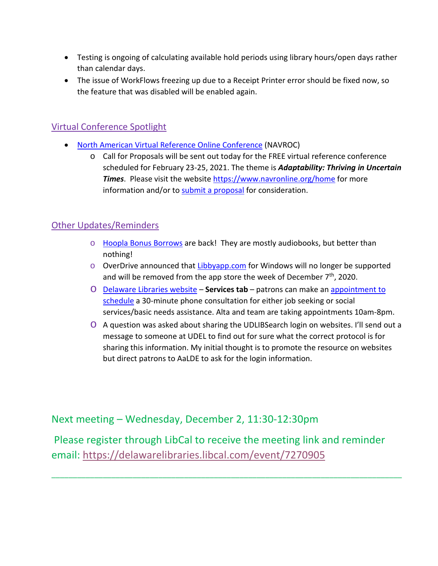- Testing is ongoing of calculating available hold periods using library hours/open days rather than calendar days.
- The issue of WorkFlows freezing up due to a Receipt Printer error should be fixed now, so the feature that was disabled will be enabled again.

## Virtual Conference Spotlight

- [North American Virtual Reference Online Conference](https://www.navronline.org/home) (NAVROC)
	- o Call for Proposals will be sent out today for the FREE virtual reference conference scheduled for February 23-25, 2021. The theme is *Adaptability: Thriving in Uncertain Times*. Please visit the website<https://www.navronline.org/home> for more information and/or to [submit a proposal](https://docs.google.com/forms/d/e/1FAIpQLScZFKRYM4-i5qzJaUCzXAZ1GagLS_DTC0rVOgeQg7aWWLZq0g/viewform) for consideration.

#### Other Updates/Reminders

- o [Hoopla Bonus Borrows](https://lib.de.us/hoopla/) are back! They are mostly audiobooks, but better than nothing!
- $\circ$  OverDrive announced that [Libbyapp.com](https://libbyapp.com/) for Windows will no longer be supported and will be removed from the app store the week of December 7<sup>th</sup>, 2020.
- o [Delaware Libraries website](https://lib.de.us/) **Services tab** patrons can make an [appointment to](https://delawarelibraries.libcal.com/appointments/)  [schedule](https://delawarelibraries.libcal.com/appointments/) a 30-minute phone consultation for either job seeking or social services/basic needs assistance. Alta and team are taking appointments 10am-8pm.
- o A question was asked about sharing the UDLIBSearch login on websites. I'll send out a message to someone at UDEL to find out for sure what the correct protocol is for sharing this information. My initial thought is to promote the resource on websites but direct patrons to AaLDE to ask for the login information.

# Next meeting – Wednesday, December 2, 11:30-12:30pm

Please register through LibCal to receive the meeting link and reminder email: <https://delawarelibraries.libcal.com/event/7270905>

\_\_\_\_\_\_\_\_\_\_\_\_\_\_\_\_\_\_\_\_\_\_\_\_\_\_\_\_\_\_\_\_\_\_\_\_\_\_\_\_\_\_\_\_\_\_\_\_\_\_\_\_\_\_\_\_\_\_\_\_\_\_\_\_\_\_\_\_\_\_\_\_\_\_\_\_\_\_\_\_\_\_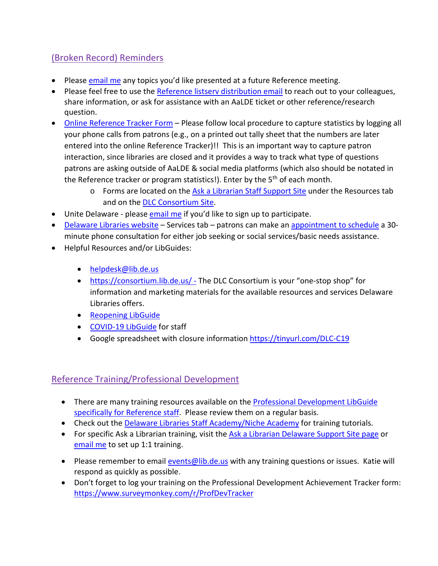# (Broken Record) Reminders

- Please [email me](mailto:missy.williams@lib.de.us) any topics you'd like presented at a future Reference meeting.
- Please feel free to use the [Reference listserv distribution email](mailto:reference@listserv.lib.de.us) to reach out to your colleagues, share information, or ask for assistance with an AaLDE ticket or other reference/research question.
- [Online Reference Tracker Form](https://de.countingopinions.com/s/feedback/index.php?survey_id=598&loc_id=en_CA) Please follow local procedure to capture statistics by logging all your phone calls from patrons (e.g., on a printed out tally sheet that the numbers are later entered into the online Reference Tracker)!! This is an important way to capture patron interaction, since libraries are closed and it provides a way to track what type of questions patrons are asking outside of AaLDE & social media platforms (which also should be notated in the Reference tracker or program statistics!). Enter by the  $5<sup>th</sup>$  of each month.
	- o Forms are located on the [Ask a Librarian Staff Support Site](https://aalstaff.lib.de.us/resources/) under the Resources tab and on the [DLC Consortium Site.](https://consortium.lib.de.us/)
- Unite Delaware please [email me](mailto:missy.williams@lib.de.us) if you'd like to sign up to participate.
- [Delaware Libraries website](https://lib.de.us/) Services tab patrons can make an [appointment to schedule](https://delawarelibraries.libcal.com/appointments/) a 30 minute phone consultation for either job seeking or social services/basic needs assistance.
- Helpful Resources and/or LibGuides:
	- [helpdesk@lib.de.us](mailto:helpdesk@lib.de.us)
	- <https://consortium.lib.de.us/> The DLC Consortium is your "one-stop shop" for information and marketing materials for the available resources and services Delaware Libraries offers.
	- [Reopening LibGuide](https://guides.lib.de.us/delibraries/COVID-19/reopening)
	- [COVID-19 LibGuide](https://guides.lib.de.us/delibraries/COVID-19) for staff
	- Google spreadsheet with closure information<https://tinyurl.com/DLC-C19>

#### Reference Training/Professional Development

- There are many training resources available on the **Professional Development LibGuide** [specifically for Reference staff.](https://guides.lib.de.us/c.php?g=386101&p=2619930) Please review them on a regular basis.
- Check out the [Delaware Libraries Staff Academy/Niche Academy](https://my.nicheacademy.com/delawarelibrariesstaffacademy) for training tutorials.
- For specific Ask a Librarian training, visit the [Ask a Librarian Delaware Support Site page](https://aalstaff.lib.de.us/all-meetings-trainings/training-tutorials/) or [email me](mailto:missy.williams@lib.de.us) to set up 1:1 training.
- Please remember to email [events@lib.de.us](mailto:events@lib.de.us) with any training questions or issues. Katie will respond as quickly as possible.
- Don't forget to log your training on the Professional Development Achievement Tracker form: <https://www.surveymonkey.com/r/ProfDevTracker>